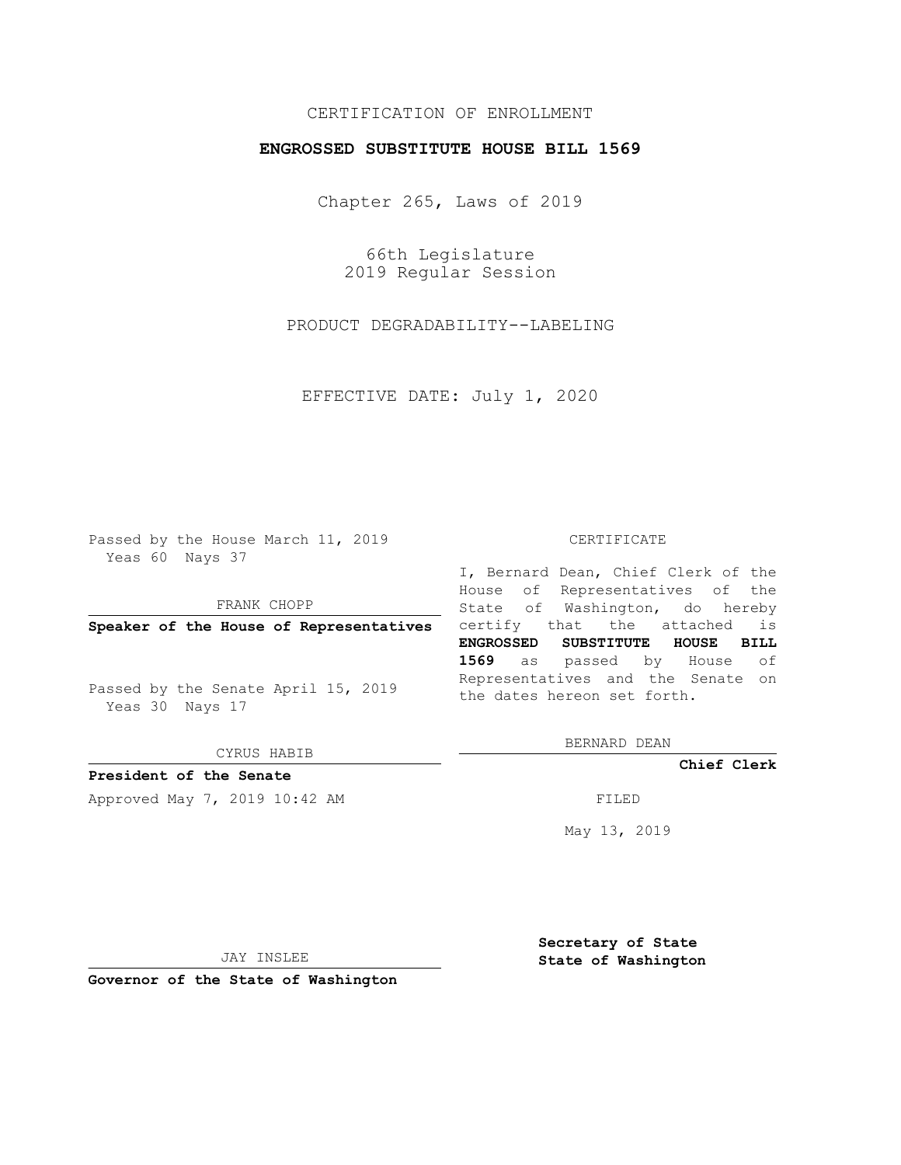## CERTIFICATION OF ENROLLMENT

## **ENGROSSED SUBSTITUTE HOUSE BILL 1569**

Chapter 265, Laws of 2019

66th Legislature 2019 Regular Session

PRODUCT DEGRADABILITY--LABELING

EFFECTIVE DATE: July 1, 2020

Passed by the House March 11, 2019 Yeas 60 Nays 37

FRANK CHOPP

Passed by the Senate April 15, 2019 Yeas 30 Nays 17

CYRUS HABIB

**President of the Senate**

Approved May 7, 2019 10:42 AM FILED

## CERTIFICATE

**Speaker of the House of Representatives** certify that the attached is I, Bernard Dean, Chief Clerk of the House of Representatives of the State of Washington, do hereby **ENGROSSED SUBSTITUTE HOUSE BILL 1569** as passed by House of Representatives and the Senate on the dates hereon set forth.

BERNARD DEAN

**Chief Clerk**

May 13, 2019

JAY INSLEE

**Governor of the State of Washington**

**Secretary of State State of Washington**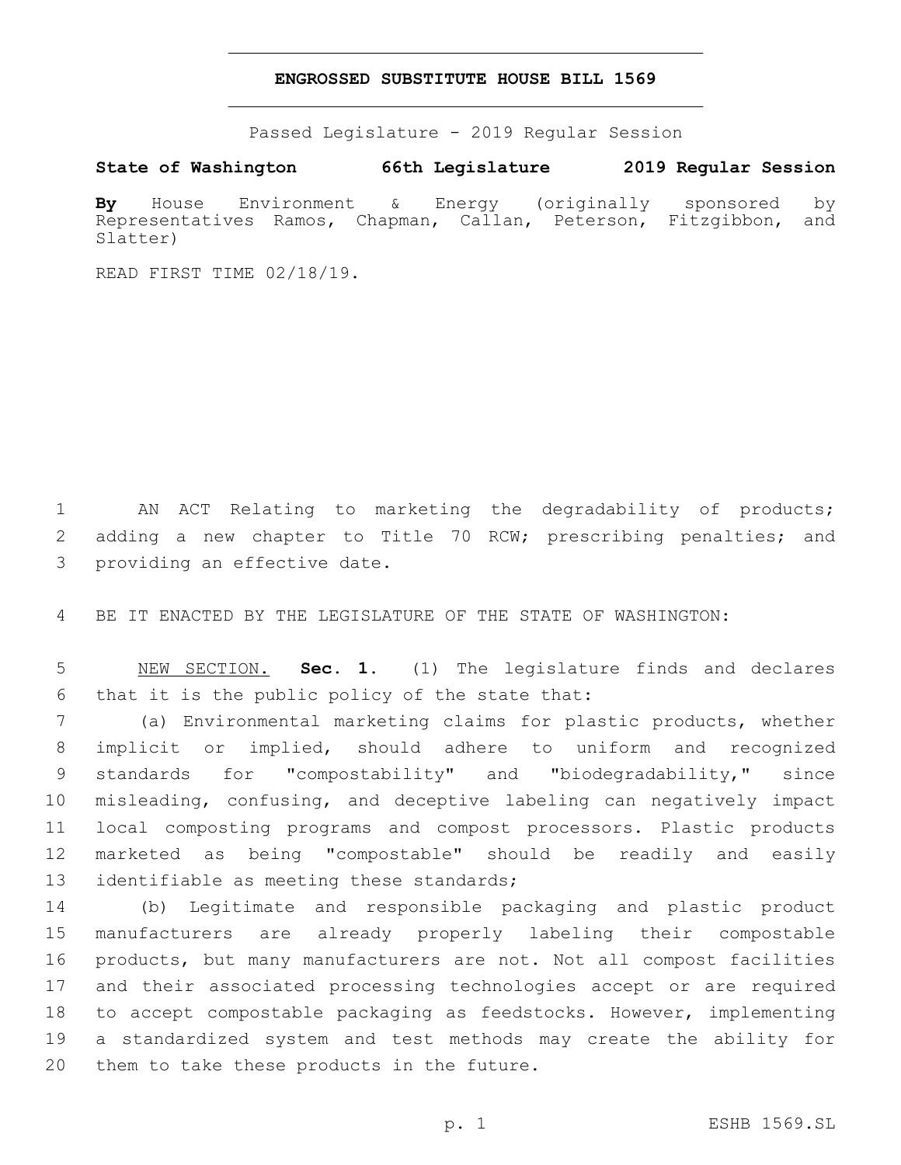## **ENGROSSED SUBSTITUTE HOUSE BILL 1569**

Passed Legislature - 2019 Regular Session

**State of Washington 66th Legislature 2019 Regular Session**

**By** House Environment & Energy (originally sponsored by Representatives Ramos, Chapman, Callan, Peterson, Fitzgibbon, and Slatter)

READ FIRST TIME 02/18/19.

1 AN ACT Relating to marketing the degradability of products; 2 adding a new chapter to Title 70 RCW; prescribing penalties; and 3 providing an effective date.

4 BE IT ENACTED BY THE LEGISLATURE OF THE STATE OF WASHINGTON:

5 NEW SECTION. **Sec. 1.** (1) The legislature finds and declares 6 that it is the public policy of the state that:

 (a) Environmental marketing claims for plastic products, whether implicit or implied, should adhere to uniform and recognized standards for "compostability" and "biodegradability," since misleading, confusing, and deceptive labeling can negatively impact local composting programs and compost processors. Plastic products marketed as being "compostable" should be readily and easily 13 identifiable as meeting these standards;

 (b) Legitimate and responsible packaging and plastic product manufacturers are already properly labeling their compostable products, but many manufacturers are not. Not all compost facilities and their associated processing technologies accept or are required to accept compostable packaging as feedstocks. However, implementing a standardized system and test methods may create the ability for 20 them to take these products in the future.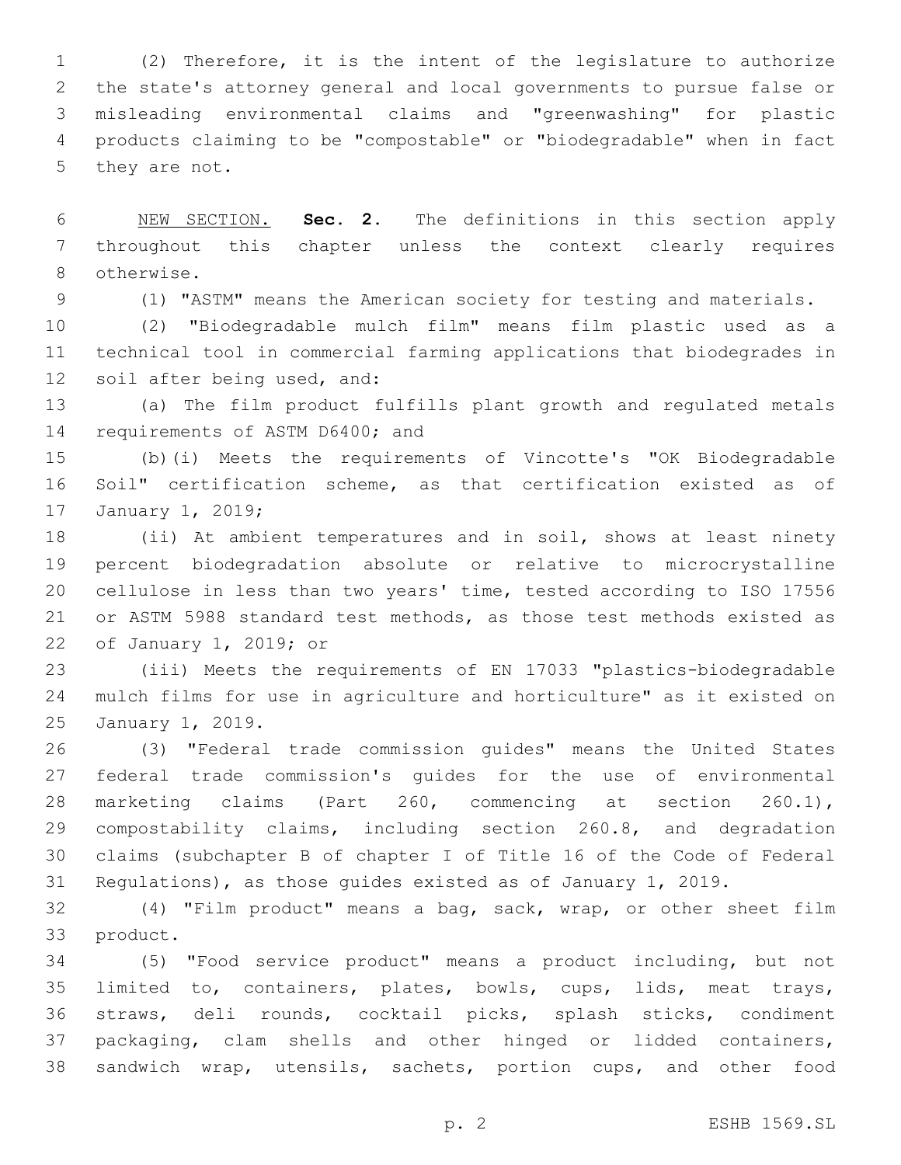(2) Therefore, it is the intent of the legislature to authorize the state's attorney general and local governments to pursue false or misleading environmental claims and "greenwashing" for plastic products claiming to be "compostable" or "biodegradable" when in fact 5 they are not.

 NEW SECTION. **Sec. 2.** The definitions in this section apply throughout this chapter unless the context clearly requires otherwise.

(1) "ASTM" means the American society for testing and materials.

 (2) "Biodegradable mulch film" means film plastic used as a technical tool in commercial farming applications that biodegrades in 12 soil after being used, and:

 (a) The film product fulfills plant growth and regulated metals 14 requirements of ASTM D6400; and

 (b)(i) Meets the requirements of Vincotte's "OK Biodegradable Soil" certification scheme, as that certification existed as of 17 January 1, 2019;

 (ii) At ambient temperatures and in soil, shows at least ninety percent biodegradation absolute or relative to microcrystalline cellulose in less than two years' time, tested according to ISO 17556 or ASTM 5988 standard test methods, as those test methods existed as 22 of January 1, 2019; or

 (iii) Meets the requirements of EN 17033 "plastics-biodegradable mulch films for use in agriculture and horticulture" as it existed on 25 January 1, 2019.

 (3) "Federal trade commission guides" means the United States federal trade commission's guides for the use of environmental marketing claims (Part 260, commencing at section 260.1), compostability claims, including section 260.8, and degradation claims (subchapter B of chapter I of Title 16 of the Code of Federal Regulations), as those guides existed as of January 1, 2019.

 (4) "Film product" means a bag, sack, wrap, or other sheet film 33 product.

 (5) "Food service product" means a product including, but not limited to, containers, plates, bowls, cups, lids, meat trays, straws, deli rounds, cocktail picks, splash sticks, condiment packaging, clam shells and other hinged or lidded containers, sandwich wrap, utensils, sachets, portion cups, and other food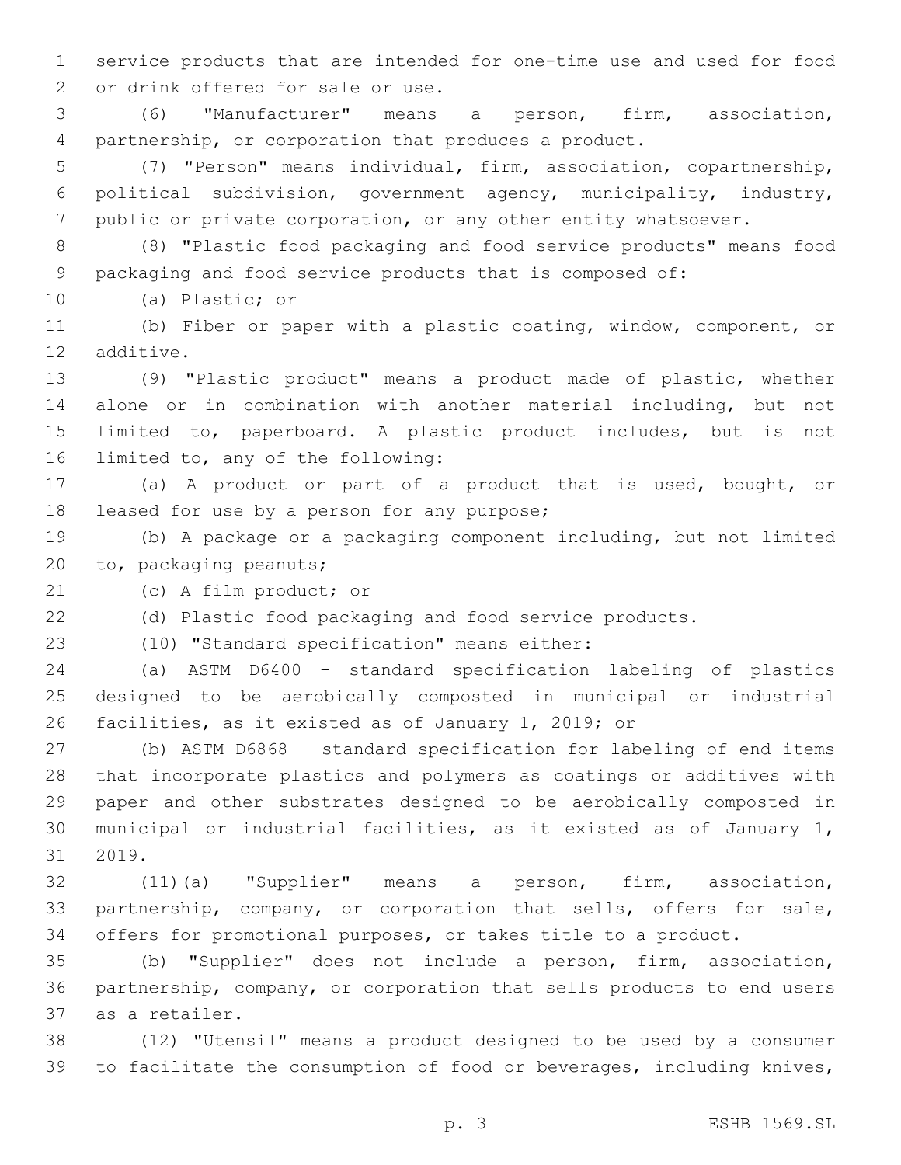service products that are intended for one-time use and used for food 2 or drink offered for sale or use.

 (6) "Manufacturer" means a person, firm, association, partnership, or corporation that produces a product.

 (7) "Person" means individual, firm, association, copartnership, political subdivision, government agency, municipality, industry, public or private corporation, or any other entity whatsoever.

 (8) "Plastic food packaging and food service products" means food packaging and food service products that is composed of:

10 (a) Plastic; or

 (b) Fiber or paper with a plastic coating, window, component, or 12 additive.

 (9) "Plastic product" means a product made of plastic, whether alone or in combination with another material including, but not limited to, paperboard. A plastic product includes, but is not 16 limited to, any of the following:

 (a) A product or part of a product that is used, bought, or 18 leased for use by a person for any purpose;

 (b) A package or a packaging component including, but not limited 20 to, packaging peanuts;

21 (c) A film product; or

(d) Plastic food packaging and food service products.

(10) "Standard specification" means either:23

 (a) ASTM D6400 – standard specification labeling of plastics designed to be aerobically composted in municipal or industrial facilities, as it existed as of January 1, 2019; or

 (b) ASTM D6868 – standard specification for labeling of end items that incorporate plastics and polymers as coatings or additives with paper and other substrates designed to be aerobically composted in municipal or industrial facilities, as it existed as of January 1, 31 2019.

 (11)(a) "Supplier" means a person, firm, association, partnership, company, or corporation that sells, offers for sale, offers for promotional purposes, or takes title to a product.

 (b) "Supplier" does not include a person, firm, association, partnership, company, or corporation that sells products to end users 37 as a retailer.

 (12) "Utensil" means a product designed to be used by a consumer to facilitate the consumption of food or beverages, including knives,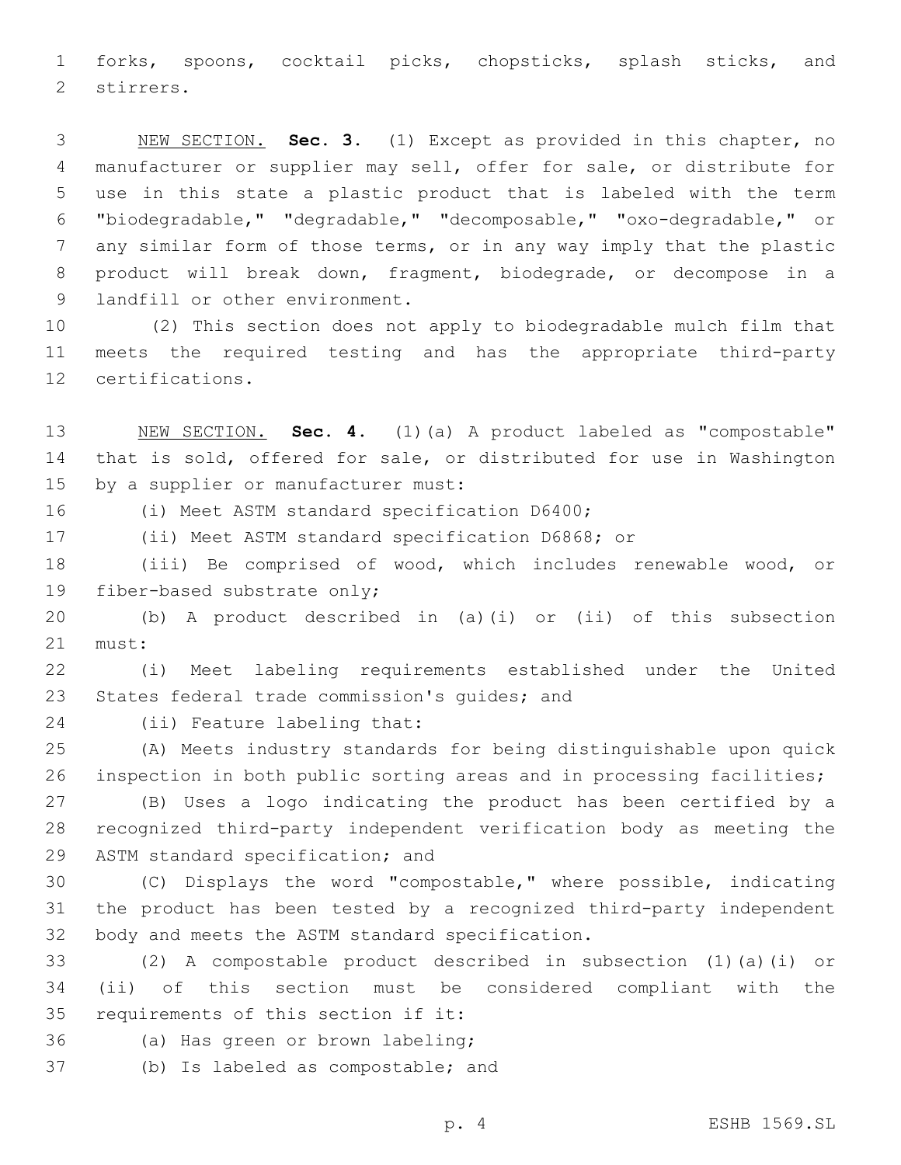forks, spoons, cocktail picks, chopsticks, splash sticks, and 2 stirrers.

 NEW SECTION. **Sec. 3.** (1) Except as provided in this chapter, no manufacturer or supplier may sell, offer for sale, or distribute for use in this state a plastic product that is labeled with the term "biodegradable," "degradable," "decomposable," "oxo-degradable," or any similar form of those terms, or in any way imply that the plastic product will break down, fragment, biodegrade, or decompose in a landfill or other environment.

 (2) This section does not apply to biodegradable mulch film that meets the required testing and has the appropriate third-party 12 certifications.

 NEW SECTION. **Sec. 4.** (1)(a) A product labeled as "compostable" that is sold, offered for sale, or distributed for use in Washington by a supplier or manufacturer must:

16 (i) Meet ASTM standard specification D6400;

(ii) Meet ASTM standard specification D6868; or

 (iii) Be comprised of wood, which includes renewable wood, or 19 fiber-based substrate only;

 (b) A product described in (a)(i) or (ii) of this subsection 21 must:

 (i) Meet labeling requirements established under the United 23 States federal trade commission's quides; and

24 (ii) Feature labeling that:

 (A) Meets industry standards for being distinguishable upon quick 26 inspection in both public sorting areas and in processing facilities;

 (B) Uses a logo indicating the product has been certified by a recognized third-party independent verification body as meeting the 29 ASTM standard specification; and

 (C) Displays the word "compostable," where possible, indicating the product has been tested by a recognized third-party independent 32 body and meets the ASTM standard specification.

 (2) A compostable product described in subsection (1)(a)(i) or (ii) of this section must be considered compliant with the 35 requirements of this section if it:

36 (a) Has green or brown labeling;

37 (b) Is labeled as compostable; and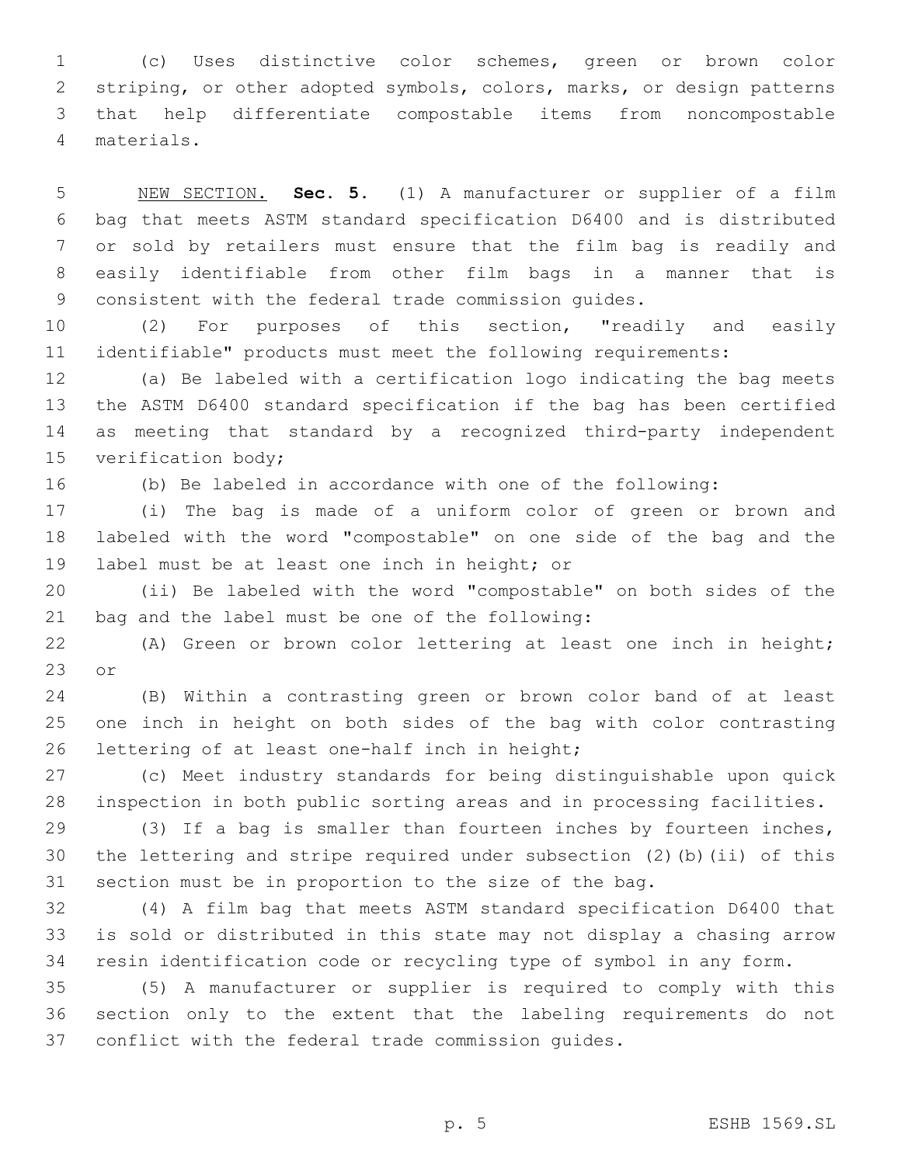(c) Uses distinctive color schemes, green or brown color striping, or other adopted symbols, colors, marks, or design patterns that help differentiate compostable items from noncompostable materials.4

 NEW SECTION. **Sec. 5.** (1) A manufacturer or supplier of a film bag that meets ASTM standard specification D6400 and is distributed or sold by retailers must ensure that the film bag is readily and easily identifiable from other film bags in a manner that is consistent with the federal trade commission guides.

 (2) For purposes of this section, "readily and easily identifiable" products must meet the following requirements:

 (a) Be labeled with a certification logo indicating the bag meets the ASTM D6400 standard specification if the bag has been certified as meeting that standard by a recognized third-party independent 15 verification body;

(b) Be labeled in accordance with one of the following:

 (i) The bag is made of a uniform color of green or brown and labeled with the word "compostable" on one side of the bag and the 19 label must be at least one inch in height; or

 (ii) Be labeled with the word "compostable" on both sides of the 21 bag and the label must be one of the following:

 (A) Green or brown color lettering at least one inch in height; or

 (B) Within a contrasting green or brown color band of at least one inch in height on both sides of the bag with color contrasting 26 lettering of at least one-half inch in height;

 (c) Meet industry standards for being distinguishable upon quick inspection in both public sorting areas and in processing facilities.

 (3) If a bag is smaller than fourteen inches by fourteen inches, the lettering and stripe required under subsection (2)(b)(ii) of this section must be in proportion to the size of the bag.

 (4) A film bag that meets ASTM standard specification D6400 that is sold or distributed in this state may not display a chasing arrow resin identification code or recycling type of symbol in any form.

 (5) A manufacturer or supplier is required to comply with this section only to the extent that the labeling requirements do not conflict with the federal trade commission guides.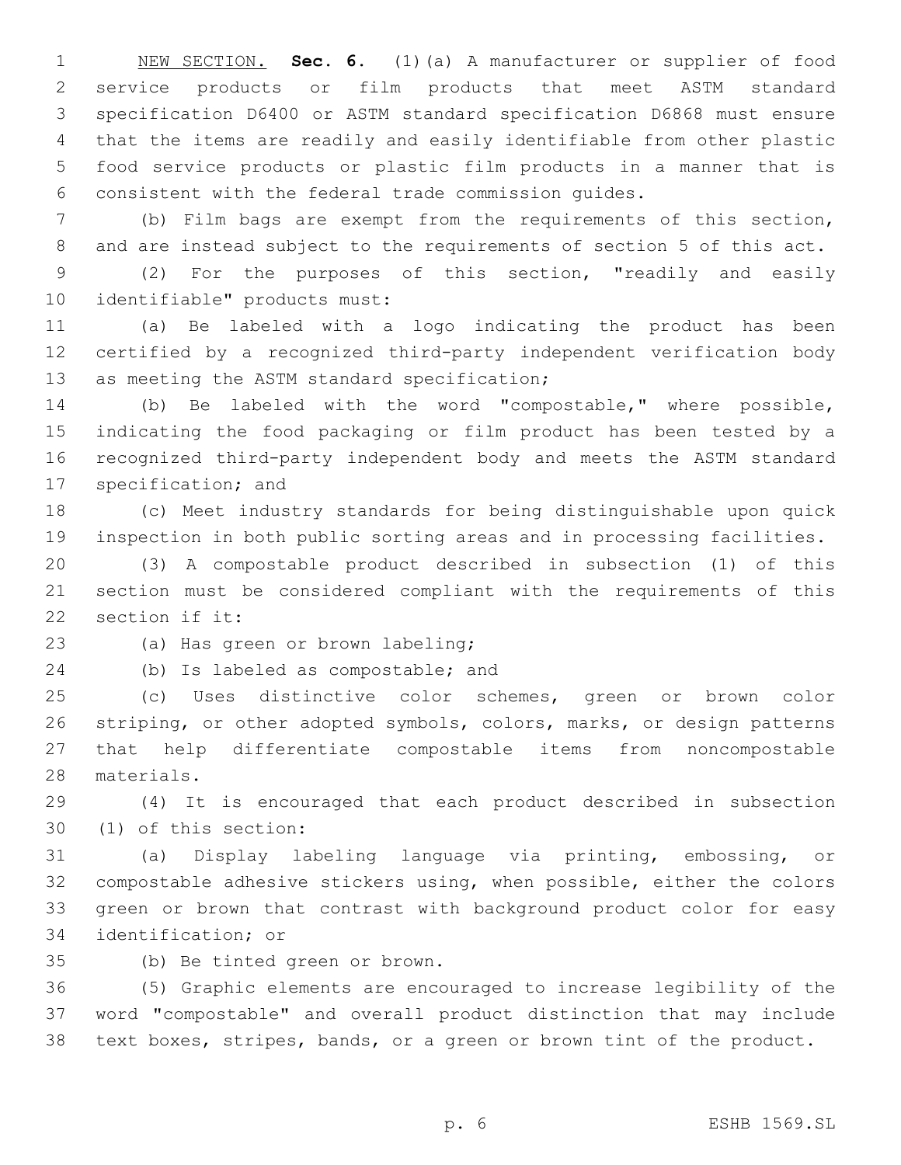NEW SECTION. **Sec. 6.** (1)(a) A manufacturer or supplier of food service products or film products that meet ASTM standard specification D6400 or ASTM standard specification D6868 must ensure that the items are readily and easily identifiable from other plastic food service products or plastic film products in a manner that is consistent with the federal trade commission guides.

 (b) Film bags are exempt from the requirements of this section, and are instead subject to the requirements of section 5 of this act.

 (2) For the purposes of this section, "readily and easily 10 identifiable" products must:

 (a) Be labeled with a logo indicating the product has been certified by a recognized third-party independent verification body 13 as meeting the ASTM standard specification;

 (b) Be labeled with the word "compostable," where possible, indicating the food packaging or film product has been tested by a recognized third-party independent body and meets the ASTM standard 17 specification; and

 (c) Meet industry standards for being distinguishable upon quick inspection in both public sorting areas and in processing facilities.

 (3) A compostable product described in subsection (1) of this section must be considered compliant with the requirements of this 22 section if it:

23 (a) Has green or brown labeling;

24 (b) Is labeled as compostable; and

 (c) Uses distinctive color schemes, green or brown color striping, or other adopted symbols, colors, marks, or design patterns that help differentiate compostable items from noncompostable 28 materials.

 (4) It is encouraged that each product described in subsection (1) of this section:30

 (a) Display labeling language via printing, embossing, or compostable adhesive stickers using, when possible, either the colors green or brown that contrast with background product color for easy 34 identification; or

(b) Be tinted green or brown.35

 (5) Graphic elements are encouraged to increase legibility of the word "compostable" and overall product distinction that may include text boxes, stripes, bands, or a green or brown tint of the product.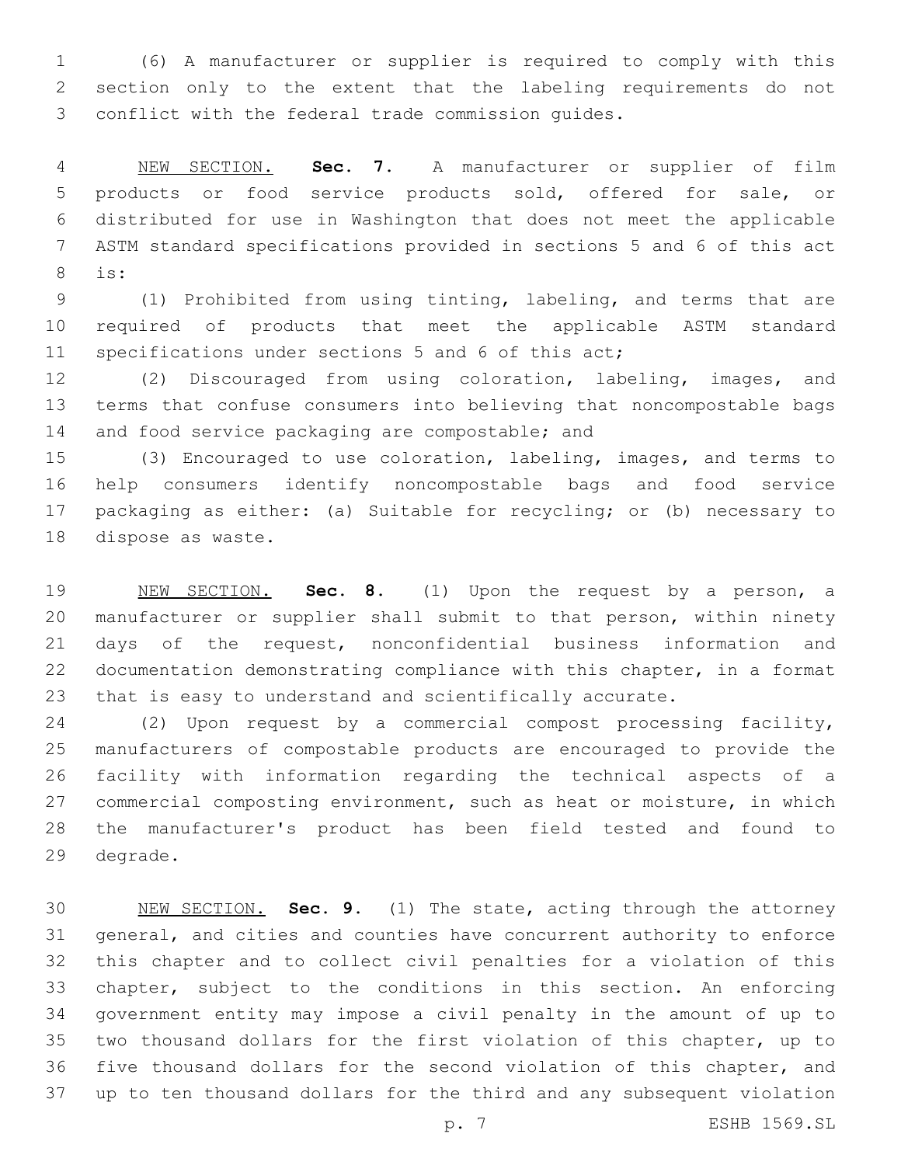(6) A manufacturer or supplier is required to comply with this section only to the extent that the labeling requirements do not 3 conflict with the federal trade commission quides.

 NEW SECTION. **Sec. 7.** A manufacturer or supplier of film products or food service products sold, offered for sale, or distributed for use in Washington that does not meet the applicable ASTM standard specifications provided in sections 5 and 6 of this act is:

 (1) Prohibited from using tinting, labeling, and terms that are required of products that meet the applicable ASTM standard 11 specifications under sections 5 and 6 of this act;

 (2) Discouraged from using coloration, labeling, images, and terms that confuse consumers into believing that noncompostable bags 14 and food service packaging are compostable; and

 (3) Encouraged to use coloration, labeling, images, and terms to help consumers identify noncompostable bags and food service packaging as either: (a) Suitable for recycling; or (b) necessary to 18 dispose as waste.

 NEW SECTION. **Sec. 8.** (1) Upon the request by a person, a manufacturer or supplier shall submit to that person, within ninety days of the request, nonconfidential business information and documentation demonstrating compliance with this chapter, in a format that is easy to understand and scientifically accurate.

 (2) Upon request by a commercial compost processing facility, manufacturers of compostable products are encouraged to provide the facility with information regarding the technical aspects of a commercial composting environment, such as heat or moisture, in which the manufacturer's product has been field tested and found to 29 degrade.

 NEW SECTION. **Sec. 9.** (1) The state, acting through the attorney general, and cities and counties have concurrent authority to enforce this chapter and to collect civil penalties for a violation of this chapter, subject to the conditions in this section. An enforcing government entity may impose a civil penalty in the amount of up to two thousand dollars for the first violation of this chapter, up to five thousand dollars for the second violation of this chapter, and up to ten thousand dollars for the third and any subsequent violation

p. 7 ESHB 1569.SL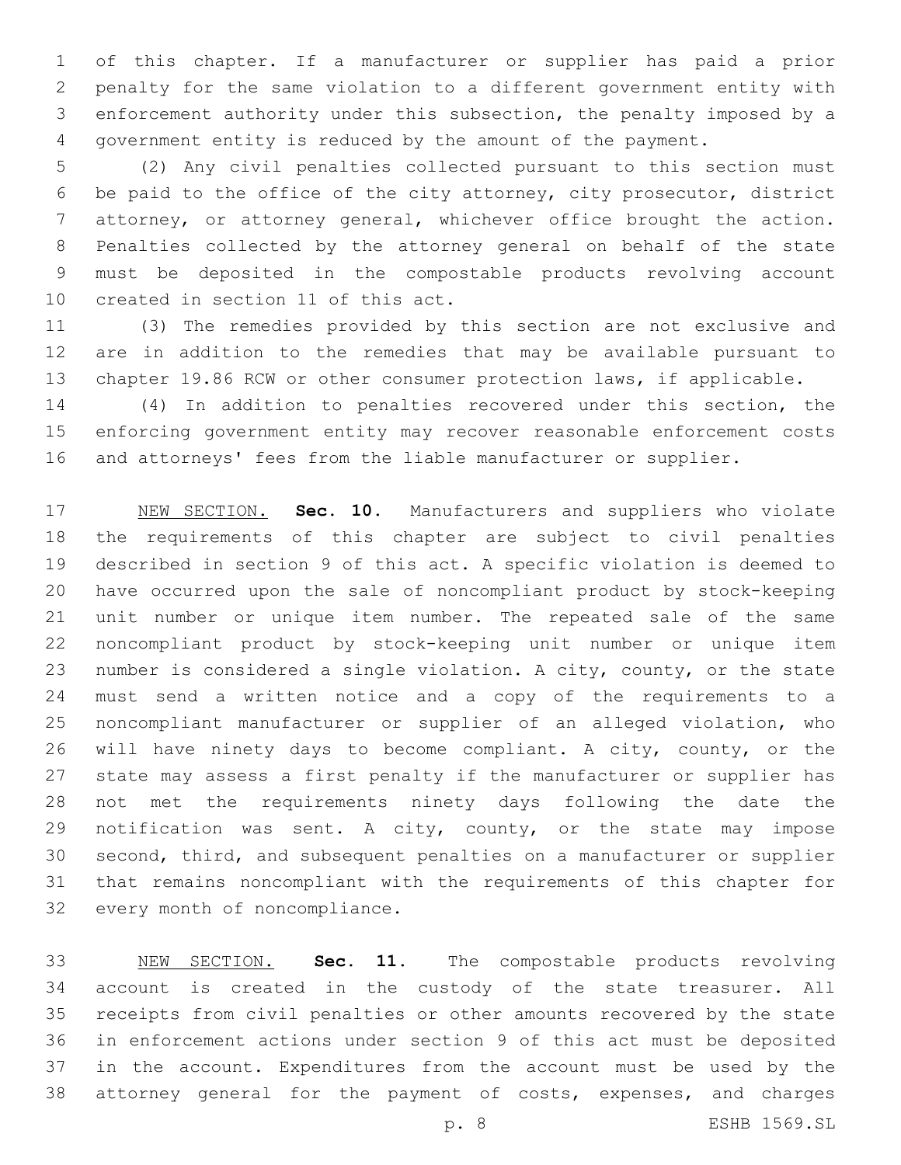of this chapter. If a manufacturer or supplier has paid a prior penalty for the same violation to a different government entity with enforcement authority under this subsection, the penalty imposed by a government entity is reduced by the amount of the payment.

 (2) Any civil penalties collected pursuant to this section must be paid to the office of the city attorney, city prosecutor, district attorney, or attorney general, whichever office brought the action. Penalties collected by the attorney general on behalf of the state must be deposited in the compostable products revolving account 10 created in section 11 of this act.

 (3) The remedies provided by this section are not exclusive and are in addition to the remedies that may be available pursuant to chapter 19.86 RCW or other consumer protection laws, if applicable.

 (4) In addition to penalties recovered under this section, the enforcing government entity may recover reasonable enforcement costs and attorneys' fees from the liable manufacturer or supplier.

 NEW SECTION. **Sec. 10.** Manufacturers and suppliers who violate the requirements of this chapter are subject to civil penalties described in section 9 of this act. A specific violation is deemed to have occurred upon the sale of noncompliant product by stock-keeping unit number or unique item number. The repeated sale of the same noncompliant product by stock-keeping unit number or unique item number is considered a single violation. A city, county, or the state must send a written notice and a copy of the requirements to a noncompliant manufacturer or supplier of an alleged violation, who will have ninety days to become compliant. A city, county, or the state may assess a first penalty if the manufacturer or supplier has not met the requirements ninety days following the date the 29 notification was sent. A city, county, or the state may impose second, third, and subsequent penalties on a manufacturer or supplier that remains noncompliant with the requirements of this chapter for every month of noncompliance.

 NEW SECTION. **Sec. 11.** The compostable products revolving account is created in the custody of the state treasurer. All receipts from civil penalties or other amounts recovered by the state in enforcement actions under section 9 of this act must be deposited in the account. Expenditures from the account must be used by the attorney general for the payment of costs, expenses, and charges

p. 8 ESHB 1569.SL